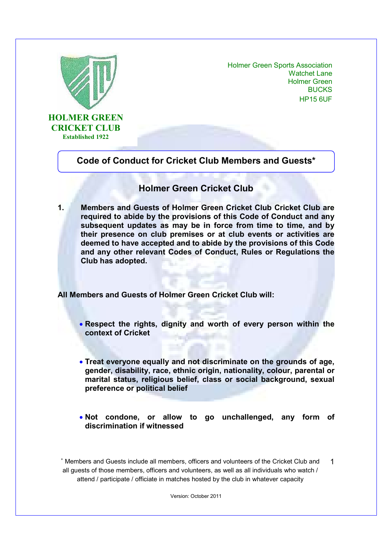

Holmer Green Sports Association Watchet Lane Holmer Green BUCKS HP15 6UF

## **Code of Conduct for Cricket Club Members and Guests\***

## **Holmer Green Cricket Club**

**1. Members and Guests of Holmer Green Cricket Club Cricket Club are required to abide by the provisions of this Code of Conduct and any subsequent updates as may be in force from time to time, and by their presence on club premises or at club events or activities are deemed to have accepted and to abide by the provisions of this Code and any other relevant Codes of Conduct, Rules or Regulations the Club has adopted.** 

**All Members and Guests of Holmer Green Cricket Club will:** 

- **Respect the rights, dignity and worth of every person within the context of Cricket**
- **Treat everyone equally and not discriminate on the grounds of age, gender, disability, race, ethnic origin, nationality, colour, parental or marital status, religious belief, class or social background, sexual preference or political belief**
- **Not condone, or allow to go unchallenged, any form of discrimination if witnessed**

∗ Members and Guests include all members, officers and volunteers of the Cricket Club and all guests of those members, officers and volunteers, as well as all individuals who watch / attend / participate / officiate in matches hosted by the club in whatever capacity 1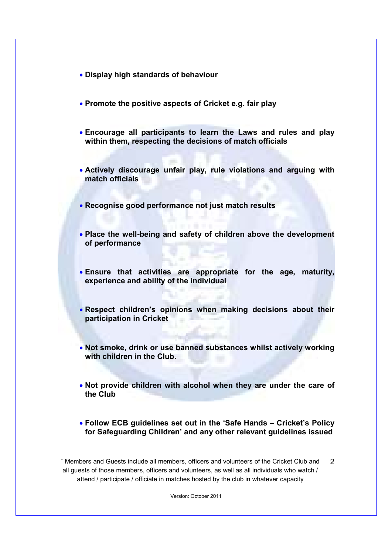- **Display high standards of behaviour**
- **Promote the positive aspects of Cricket e.g. fair play**
- **Encourage all participants to learn the Laws and rules and play within them, respecting the decisions of match officials**
- **Actively discourage unfair play, rule violations and arguing with match officials**
- **Recognise good performance not just match results**
- **Place the well-being and safety of children above the development of performance**
- **Ensure that activities are appropriate for the age, maturity, experience and ability of the individual**
- **Respect children's opinions when making decisions about their participation in Cricket**
- **Not smoke, drink or use banned substances whilst actively working with children in the Club.**
- **Not provide children with alcohol when they are under the care of the Club**
- **Follow ECB guidelines set out in the 'Safe Hands Cricket's Policy for Safeguarding Children' and any other relevant guidelines issued**

∗ Members and Guests include all members, officers and volunteers of the Cricket Club and all guests of those members, officers and volunteers, as well as all individuals who watch / attend / participate / officiate in matches hosted by the club in whatever capacity  $\mathfrak{D}$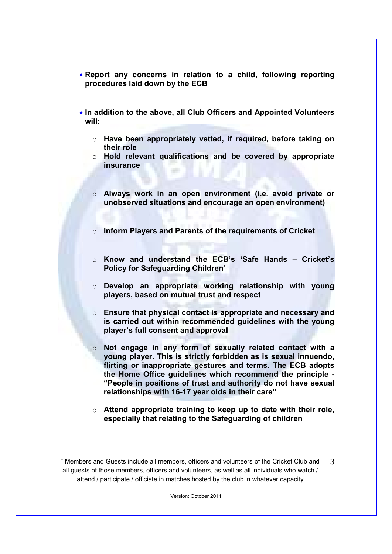- **Report any concerns in relation to a child, following reporting procedures laid down by the ECB**
- **In addition to the above, all Club Officers and Appointed Volunteers will:** 
	- o **Have been appropriately vetted, if required, before taking on their role**
	- o **Hold relevant qualifications and be covered by appropriate insurance**
	- o **Always work in an open environment (i.e. avoid private or unobserved situations and encourage an open environment)**
	- o **Inform Players and Parents of the requirements of Cricket**
	- o **Know and understand the ECB's 'Safe Hands Cricket's Policy for Safeguarding Children'**
	- o **Develop an appropriate working relationship with young players, based on mutual trust and respect**
	- o **Ensure that physical contact is appropriate and necessary and is carried out within recommended guidelines with the young player's full consent and approval**
	- o **Not engage in any form of sexually related contact with a young player. This is strictly forbidden as is sexual innuendo, flirting or inappropriate gestures and terms. The ECB adopts the Home Office guidelines which recommend the principle - "People in positions of trust and authority do not have sexual relationships with 16-17 year olds in their care"**
	- o **Attend appropriate training to keep up to date with their role, especially that relating to the Safeguarding of children**

∗ Members and Guests include all members, officers and volunteers of the Cricket Club and all guests of those members, officers and volunteers, as well as all individuals who watch / attend / participate / officiate in matches hosted by the club in whatever capacity 3